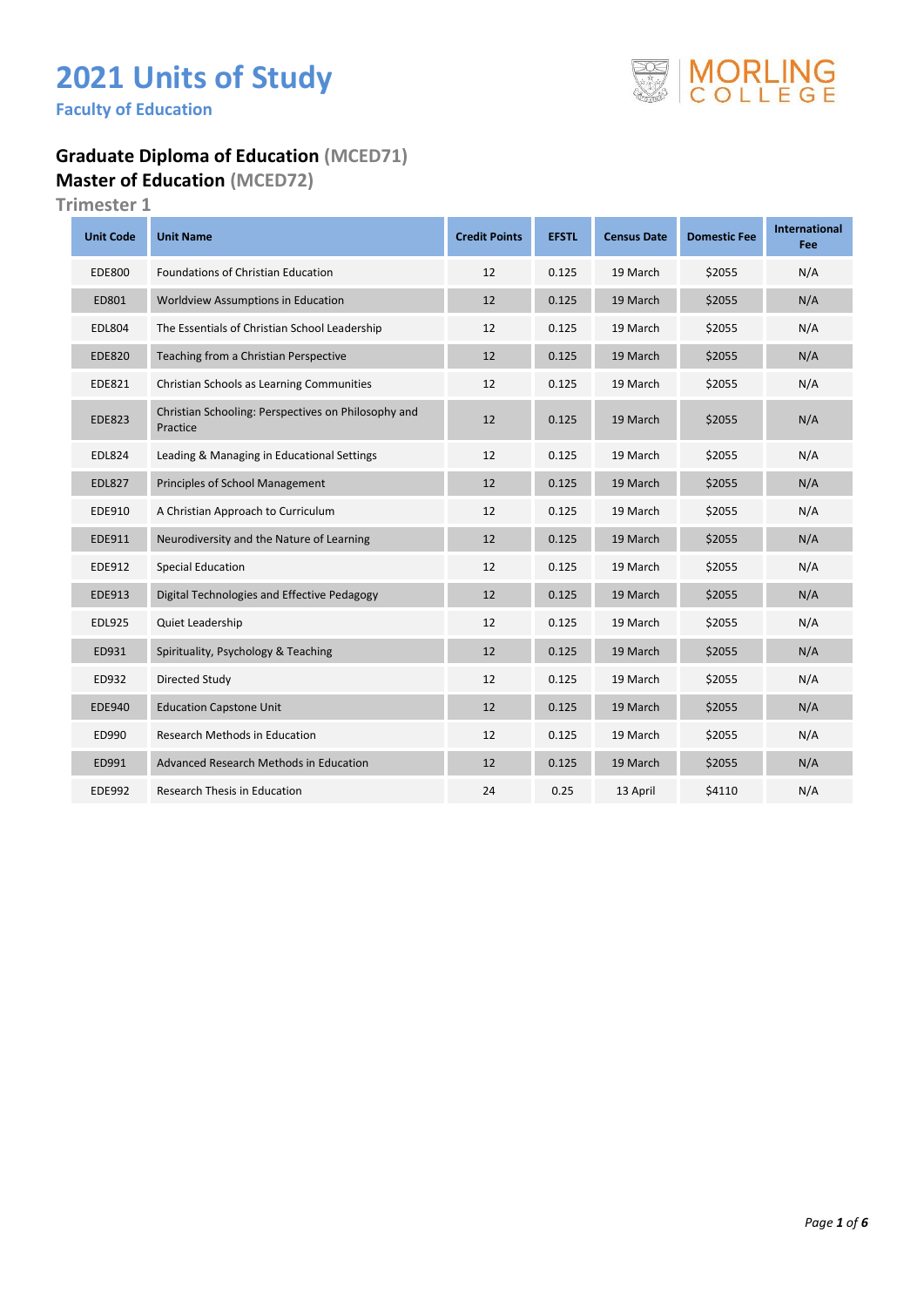# **2021 Units of Study**

**Faculty of Education** 

#### **Graduate Diploma of Education (MCED71) Master of Education (MCED72)**

| <b>Unit Code</b> | <b>Unit Name</b>                                                | <b>Credit Points</b> | <b>EFSTL</b> | <b>Census Date</b> | <b>Domestic Fee</b> | <b>International</b><br>Fee |
|------------------|-----------------------------------------------------------------|----------------------|--------------|--------------------|---------------------|-----------------------------|
| <b>EDE800</b>    | <b>Foundations of Christian Education</b>                       | 12                   | 0.125        | 19 March           | \$2055              | N/A                         |
| ED801            | Worldview Assumptions in Education                              | 12                   | 0.125        | 19 March           | \$2055              | N/A                         |
| <b>EDL804</b>    | The Essentials of Christian School Leadership                   | 12                   | 0.125        | 19 March           | \$2055              | N/A                         |
| <b>EDE820</b>    | Teaching from a Christian Perspective                           | 12                   | 0.125        | 19 March           | \$2055              | N/A                         |
| EDE821           | Christian Schools as Learning Communities                       | 12                   | 0.125        | 19 March           | \$2055              | N/A                         |
| <b>EDE823</b>    | Christian Schooling: Perspectives on Philosophy and<br>Practice | 12                   | 0.125        | 19 March           | \$2055              | N/A                         |
| <b>EDL824</b>    | Leading & Managing in Educational Settings                      | 12                   | 0.125        | 19 March           | \$2055              | N/A                         |
| <b>EDL827</b>    | Principles of School Management                                 | 12                   | 0.125        | 19 March           | \$2055              | N/A                         |
| EDE910           | A Christian Approach to Curriculum                              | 12                   | 0.125        | 19 March           | \$2055              | N/A                         |
| EDE911           | Neurodiversity and the Nature of Learning                       | 12                   | 0.125        | 19 March           | \$2055              | N/A                         |
| EDE912           | <b>Special Education</b>                                        | 12                   | 0.125        | 19 March           | \$2055              | N/A                         |
| <b>EDE913</b>    | Digital Technologies and Effective Pedagogy                     | 12                   | 0.125        | 19 March           | \$2055              | N/A                         |
| <b>EDL925</b>    | Quiet Leadership                                                | 12                   | 0.125        | 19 March           | \$2055              | N/A                         |
| ED931            | Spirituality, Psychology & Teaching                             | 12                   | 0.125        | 19 March           | \$2055              | N/A                         |
| ED932            | Directed Study                                                  | 12                   | 0.125        | 19 March           | \$2055              | N/A                         |
| <b>EDE940</b>    | <b>Education Capstone Unit</b>                                  | 12                   | 0.125        | 19 March           | \$2055              | N/A                         |
| ED990            | <b>Research Methods in Education</b>                            | 12                   | 0.125        | 19 March           | \$2055              | N/A                         |
| ED991            | Advanced Research Methods in Education                          | 12                   | 0.125        | 19 March           | \$2055              | N/A                         |
| <b>EDE992</b>    | <b>Research Thesis in Education</b>                             | 24                   | 0.25         | 13 April           | \$4110              | N/A                         |

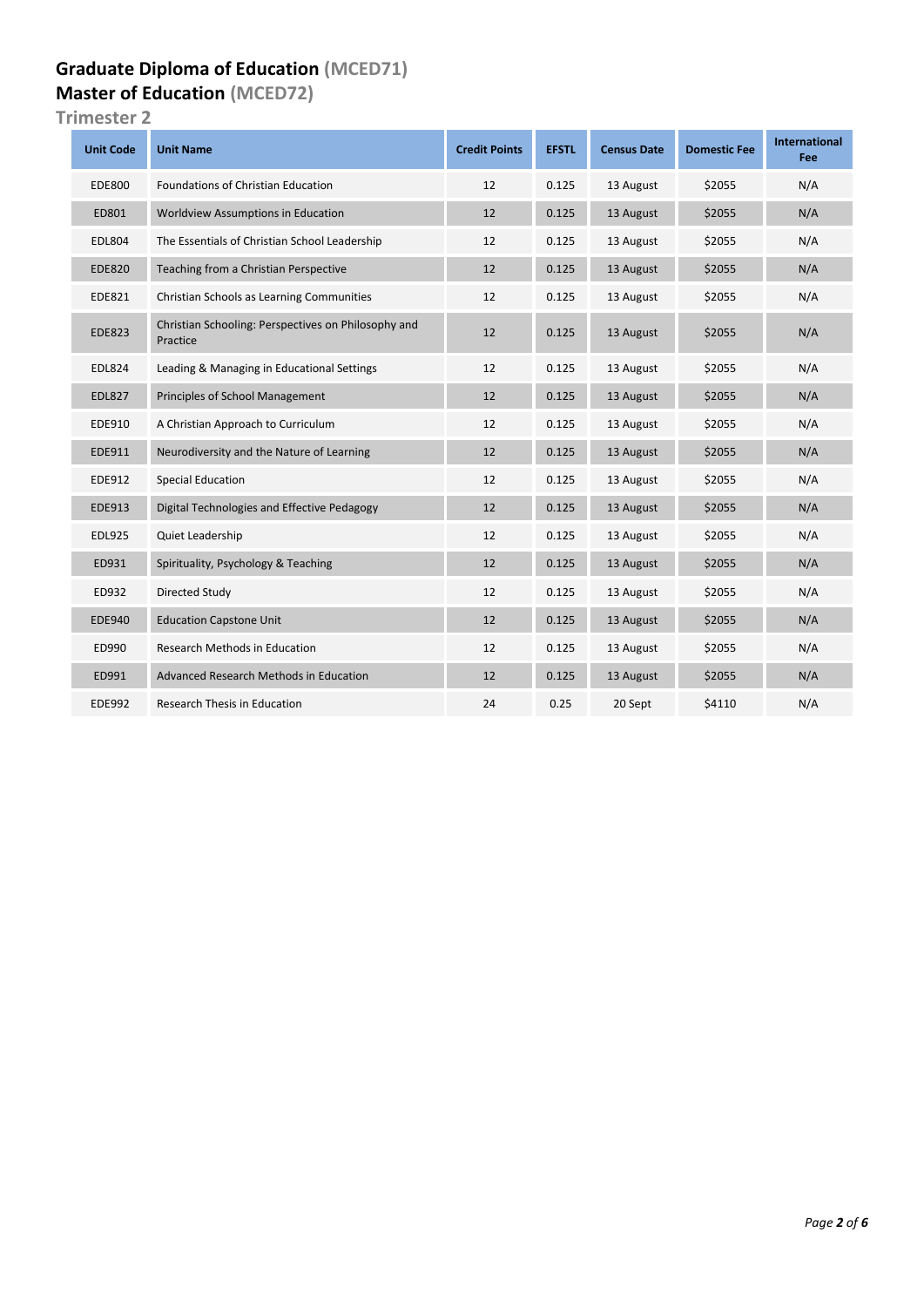### **Graduate Diploma of Education (MCED71) Master of Education (MCED72)**

| <b>Unit Code</b> | <b>Unit Name</b>                                                | <b>Credit Points</b> | <b>EFSTL</b> | <b>Census Date</b> | <b>Domestic Fee</b> | <b>International</b><br>Fee |
|------------------|-----------------------------------------------------------------|----------------------|--------------|--------------------|---------------------|-----------------------------|
| <b>EDE800</b>    | <b>Foundations of Christian Education</b>                       | 12                   | 0.125        | 13 August          | \$2055              | N/A                         |
| ED801            | Worldview Assumptions in Education                              | 12                   | 0.125        | 13 August          | \$2055              | N/A                         |
| <b>EDL804</b>    | The Essentials of Christian School Leadership                   | 12                   | 0.125        | 13 August          | \$2055              | N/A                         |
| <b>EDE820</b>    | Teaching from a Christian Perspective                           | 12                   | 0.125        | 13 August          | \$2055              | N/A                         |
| <b>EDE821</b>    | Christian Schools as Learning Communities                       | 12                   | 0.125        | 13 August          | \$2055              | N/A                         |
| <b>EDE823</b>    | Christian Schooling: Perspectives on Philosophy and<br>Practice | 12                   | 0.125        | 13 August          | \$2055              | N/A                         |
| <b>EDL824</b>    | Leading & Managing in Educational Settings                      | 12                   | 0.125        | 13 August          | \$2055              | N/A                         |
| <b>EDL827</b>    | Principles of School Management                                 | 12                   | 0.125        | 13 August          | \$2055              | N/A                         |
| EDE910           | A Christian Approach to Curriculum                              | 12                   | 0.125        | 13 August          | \$2055              | N/A                         |
| EDE911           | Neurodiversity and the Nature of Learning                       | 12                   | 0.125        | 13 August          | \$2055              | N/A                         |
| EDE912           | <b>Special Education</b>                                        | 12                   | 0.125        | 13 August          | \$2055              | N/A                         |
| EDE913           | Digital Technologies and Effective Pedagogy                     | 12                   | 0.125        | 13 August          | \$2055              | N/A                         |
| <b>EDL925</b>    | Quiet Leadership                                                | 12                   | 0.125        | 13 August          | \$2055              | N/A                         |
| ED931            | Spirituality, Psychology & Teaching                             | 12                   | 0.125        | 13 August          | \$2055              | N/A                         |
| ED932            | Directed Study                                                  | 12                   | 0.125        | 13 August          | \$2055              | N/A                         |
| <b>EDE940</b>    | <b>Education Capstone Unit</b>                                  | 12                   | 0.125        | 13 August          | \$2055              | N/A                         |
| ED990            | Research Methods in Education                                   | 12                   | 0.125        | 13 August          | \$2055              | N/A                         |
| ED991            | Advanced Research Methods in Education                          | 12                   | 0.125        | 13 August          | \$2055              | N/A                         |
| <b>EDE992</b>    | <b>Research Thesis in Education</b>                             | 24                   | 0.25         | 20 Sept            | \$4110              | N/A                         |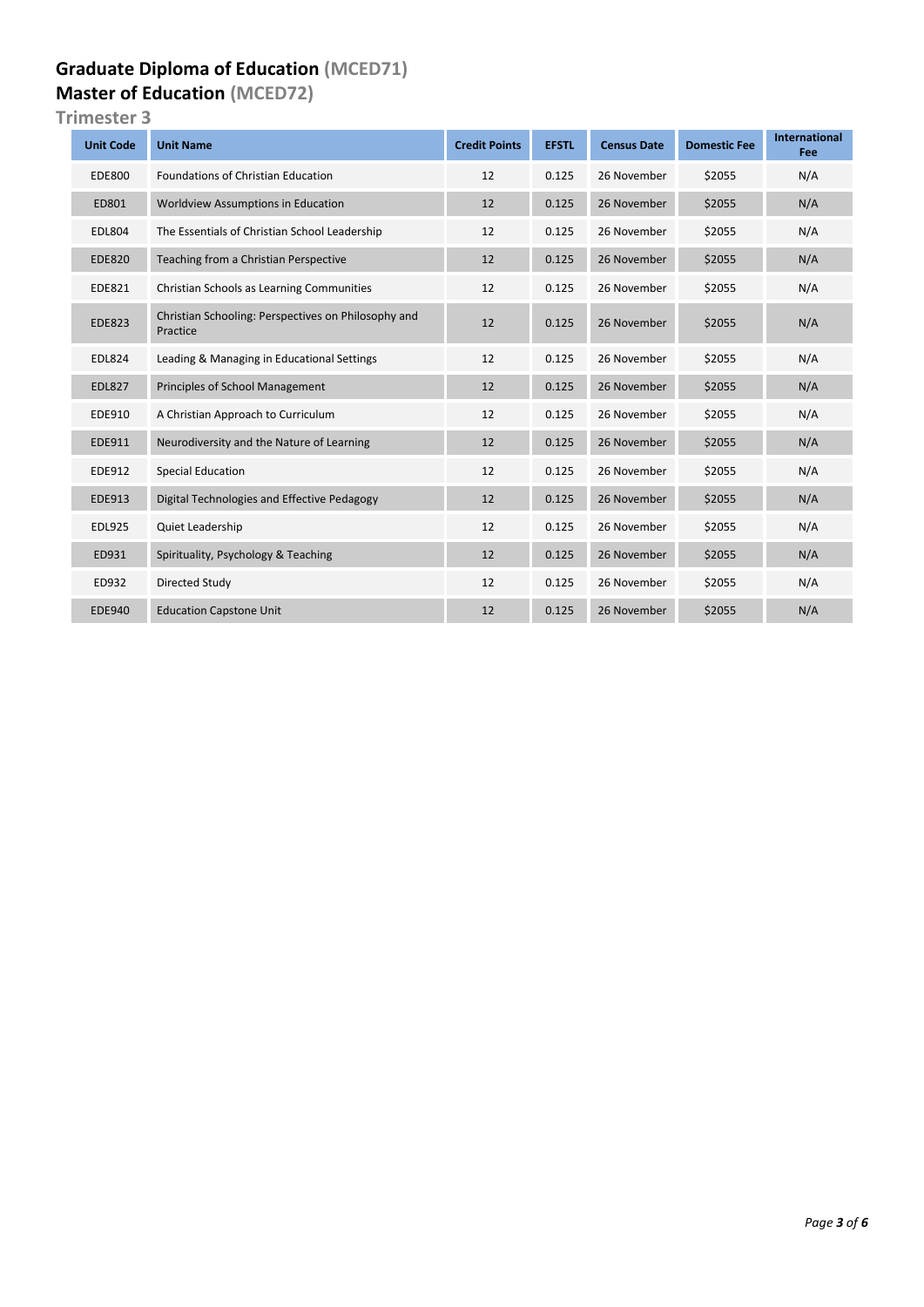### **Graduate Diploma of Education (MCED71) Master of Education (MCED72)**

| <b>Unit Code</b> | <b>Unit Name</b>                                                | <b>Credit Points</b> | <b>EFSTL</b> | <b>Census Date</b> | <b>Domestic Fee</b> | <b>International</b><br>Fee |
|------------------|-----------------------------------------------------------------|----------------------|--------------|--------------------|---------------------|-----------------------------|
| <b>EDE800</b>    | <b>Foundations of Christian Education</b>                       | 12                   | 0.125        | 26 November        | \$2055              | N/A                         |
| ED801            | Worldview Assumptions in Education                              | 12                   | 0.125        | 26 November        | \$2055              | N/A                         |
| <b>EDL804</b>    | The Essentials of Christian School Leadership                   | 12                   | 0.125        | 26 November        | \$2055              | N/A                         |
| <b>EDE820</b>    | Teaching from a Christian Perspective                           | 12                   | 0.125        | 26 November        | \$2055              | N/A                         |
| EDE821           | Christian Schools as Learning Communities                       | 12                   | 0.125        | 26 November        | \$2055              | N/A                         |
| <b>EDE823</b>    | Christian Schooling: Perspectives on Philosophy and<br>Practice | 12                   | 0.125        | 26 November        | \$2055              | N/A                         |
| <b>EDL824</b>    | Leading & Managing in Educational Settings                      | 12                   | 0.125        | 26 November        | \$2055              | N/A                         |
| <b>EDL827</b>    | <b>Principles of School Management</b>                          | 12                   | 0.125        | 26 November        | \$2055              | N/A                         |
| EDE910           | A Christian Approach to Curriculum                              | 12                   | 0.125        | 26 November        | \$2055              | N/A                         |
| EDE911           | Neurodiversity and the Nature of Learning                       | 12                   | 0.125        | 26 November        | \$2055              | N/A                         |
| EDE912           | <b>Special Education</b>                                        | 12                   | 0.125        | 26 November        | \$2055              | N/A                         |
| <b>EDE913</b>    | Digital Technologies and Effective Pedagogy                     | 12                   | 0.125        | 26 November        | \$2055              | N/A                         |
| <b>EDL925</b>    | <b>Quiet Leadership</b>                                         | 12                   | 0.125        | 26 November        | \$2055              | N/A                         |
| ED931            | Spirituality, Psychology & Teaching                             | 12                   | 0.125        | 26 November        | \$2055              | N/A                         |
| ED932            | Directed Study                                                  | 12                   | 0.125        | 26 November        | \$2055              | N/A                         |
| <b>EDE940</b>    | <b>Education Capstone Unit</b>                                  | 12                   | 0.125        | 26 November        | \$2055              | N/A                         |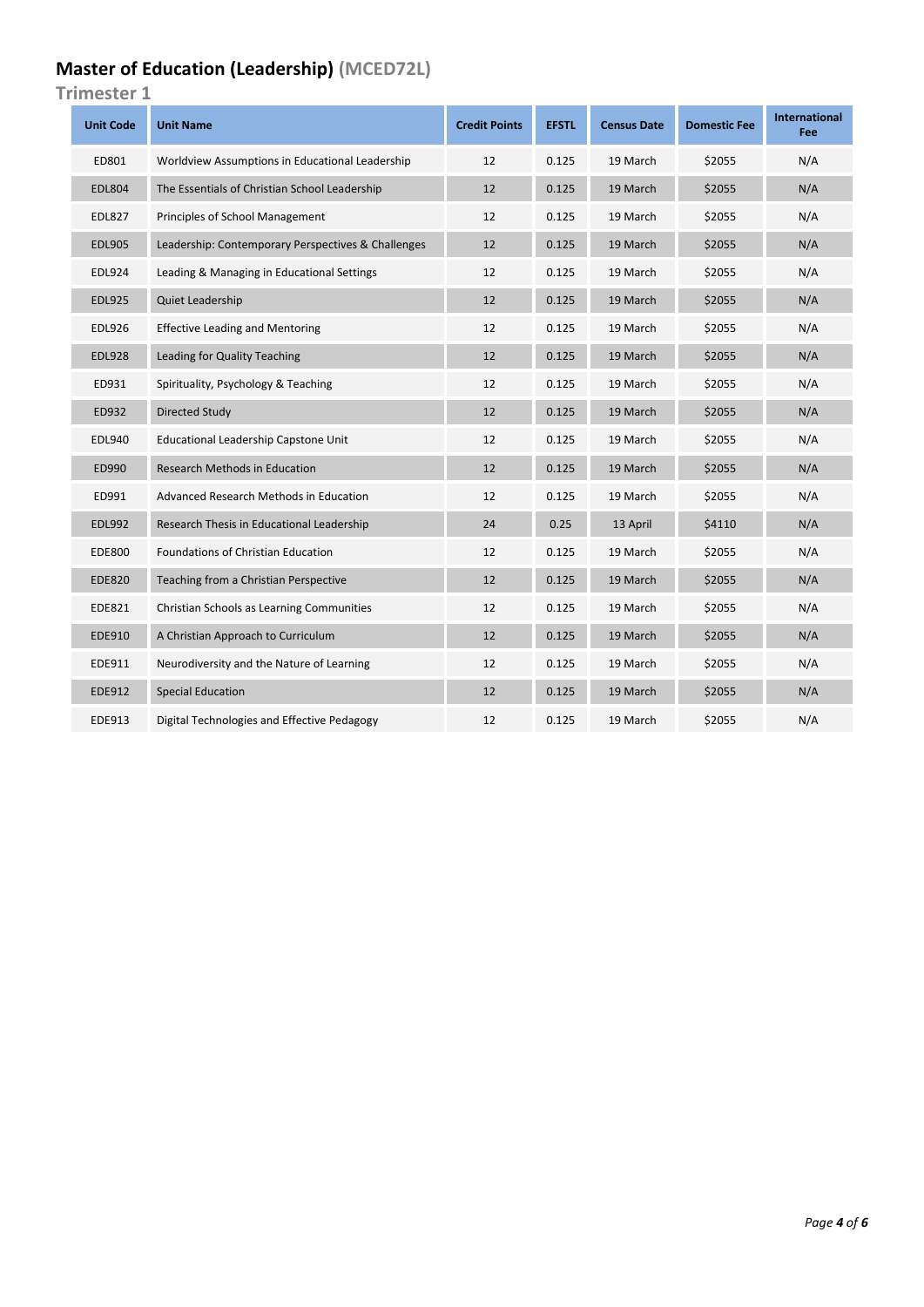## **Master of Education (Leadership) (MCED72L)**

| <b>Unit Code</b> | <b>Unit Name</b>                                   | <b>Credit Points</b> | <b>EFSTL</b> | <b>Census Date</b> | <b>Domestic Fee</b> | <b>International</b><br>Fee |
|------------------|----------------------------------------------------|----------------------|--------------|--------------------|---------------------|-----------------------------|
| ED801            | Worldview Assumptions in Educational Leadership    | 12                   | 0.125        | 19 March           | \$2055              | N/A                         |
| <b>EDL804</b>    | The Essentials of Christian School Leadership      | 12                   | 0.125        | 19 March           | \$2055              | N/A                         |
| <b>EDL827</b>    | Principles of School Management                    | 12                   | 0.125        | 19 March           | \$2055              | N/A                         |
| <b>EDL905</b>    | Leadership: Contemporary Perspectives & Challenges | 12                   | 0.125        | 19 March           | \$2055              | N/A                         |
| <b>EDL924</b>    | Leading & Managing in Educational Settings         | 12                   | 0.125        | 19 March           | \$2055              | N/A                         |
| <b>EDL925</b>    | Quiet Leadership                                   | 12                   | 0.125        | 19 March           | \$2055              | N/A                         |
| <b>EDL926</b>    | <b>Effective Leading and Mentoring</b>             | 12                   | 0.125        | 19 March           | \$2055              | N/A                         |
| <b>EDL928</b>    | Leading for Quality Teaching                       | 12                   | 0.125        | 19 March           | \$2055              | N/A                         |
| ED931            | Spirituality, Psychology & Teaching                | 12                   | 0.125        | 19 March           | \$2055              | N/A                         |
| ED932            | Directed Study                                     | 12                   | 0.125        | 19 March           | \$2055              | N/A                         |
| <b>EDL940</b>    | Educational Leadership Capstone Unit               | 12                   | 0.125        | 19 March           | \$2055              | N/A                         |
| ED990            | <b>Research Methods in Education</b>               | 12                   | 0.125        | 19 March           | \$2055              | N/A                         |
| ED991            | Advanced Research Methods in Education             | 12                   | 0.125        | 19 March           | \$2055              | N/A                         |
| <b>EDL992</b>    | Research Thesis in Educational Leadership          | 24                   | 0.25         | 13 April           | \$4110              | N/A                         |
| <b>EDE800</b>    | Foundations of Christian Education                 | 12                   | 0.125        | 19 March           | \$2055              | N/A                         |
| <b>EDE820</b>    | Teaching from a Christian Perspective              | 12                   | 0.125        | 19 March           | \$2055              | N/A                         |
| <b>EDE821</b>    | Christian Schools as Learning Communities          | 12                   | 0.125        | 19 March           | \$2055              | N/A                         |
| EDE910           | A Christian Approach to Curriculum                 | 12                   | 0.125        | 19 March           | \$2055              | N/A                         |
| EDE911           | Neurodiversity and the Nature of Learning          | 12                   | 0.125        | 19 March           | \$2055              | N/A                         |
| <b>EDE912</b>    | <b>Special Education</b>                           | 12                   | 0.125        | 19 March           | \$2055              | N/A                         |
| EDE913           | Digital Technologies and Effective Pedagogy        | 12                   | 0.125        | 19 March           | \$2055              | N/A                         |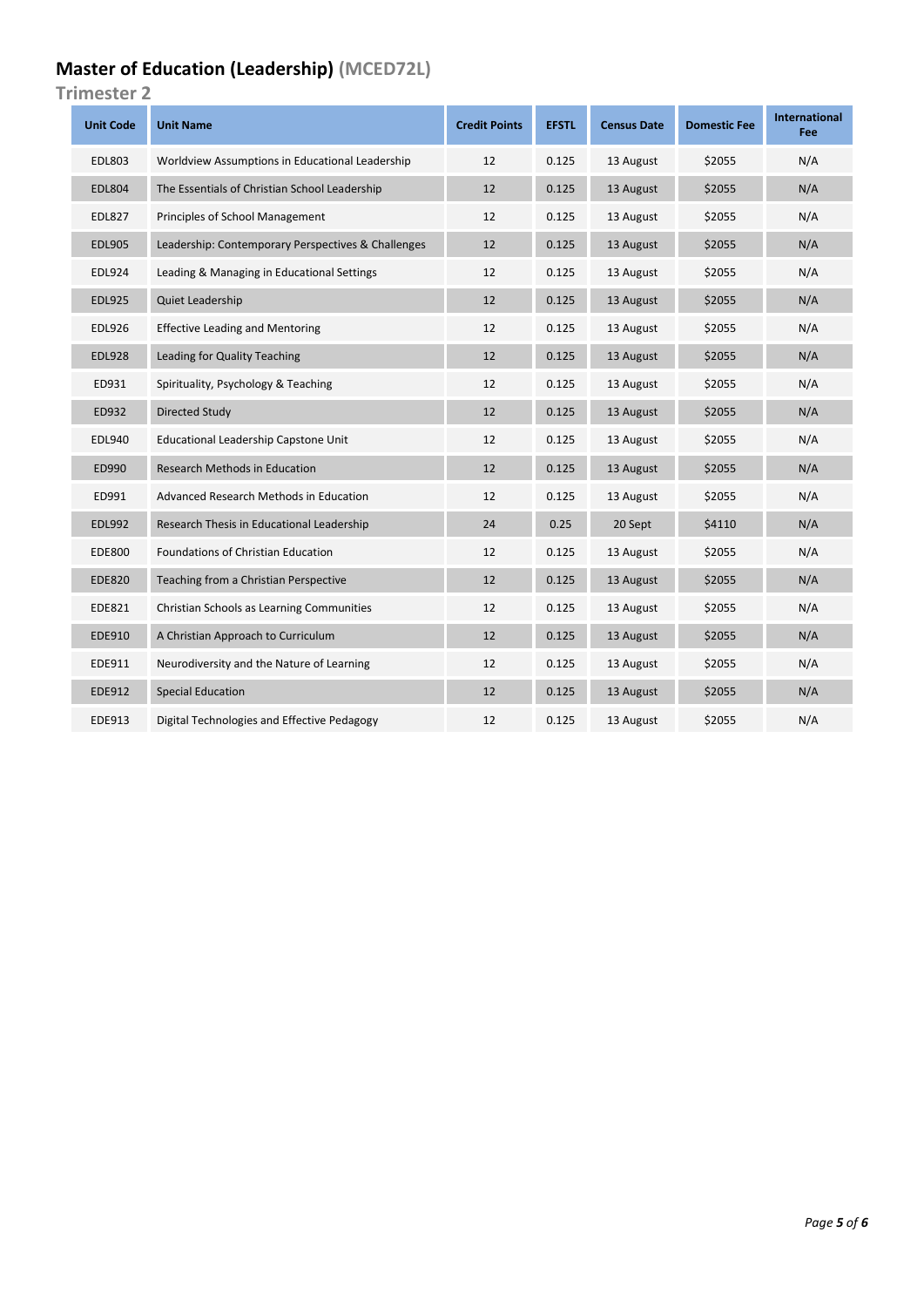## **Master of Education (Leadership) (MCED72L)**

| <b>Unit Code</b> | <b>Unit Name</b>                                   | <b>Credit Points</b> | <b>EFSTL</b> | <b>Census Date</b> | <b>Domestic Fee</b> | <b>International</b><br>Fee |
|------------------|----------------------------------------------------|----------------------|--------------|--------------------|---------------------|-----------------------------|
| <b>EDL803</b>    | Worldview Assumptions in Educational Leadership    | 12                   | 0.125        | 13 August          | \$2055              | N/A                         |
| <b>EDL804</b>    | The Essentials of Christian School Leadership      | 12                   | 0.125        | 13 August          | \$2055              | N/A                         |
| <b>EDL827</b>    | Principles of School Management                    | 12                   | 0.125        | 13 August          | \$2055              | N/A                         |
| <b>EDL905</b>    | Leadership: Contemporary Perspectives & Challenges | 12                   | 0.125        | 13 August          | \$2055              | N/A                         |
| <b>EDL924</b>    | Leading & Managing in Educational Settings         | 12                   | 0.125        | 13 August          | \$2055              | N/A                         |
| <b>EDL925</b>    | Quiet Leadership                                   | 12                   | 0.125        | 13 August          | \$2055              | N/A                         |
| <b>EDL926</b>    | <b>Effective Leading and Mentoring</b>             | 12                   | 0.125        | 13 August          | \$2055              | N/A                         |
| <b>EDL928</b>    | Leading for Quality Teaching                       | 12                   | 0.125        | 13 August          | \$2055              | N/A                         |
| ED931            | Spirituality, Psychology & Teaching                | 12                   | 0.125        | 13 August          | \$2055              | N/A                         |
| ED932            | Directed Study                                     | 12                   | 0.125        | 13 August          | \$2055              | N/A                         |
| <b>EDL940</b>    | Educational Leadership Capstone Unit               | 12                   | 0.125        | 13 August          | \$2055              | N/A                         |
| ED990            | Research Methods in Education                      | 12                   | 0.125        | 13 August          | \$2055              | N/A                         |
| ED991            | Advanced Research Methods in Education             | 12                   | 0.125        | 13 August          | \$2055              | N/A                         |
| <b>EDL992</b>    | Research Thesis in Educational Leadership          | 24                   | 0.25         | 20 Sept            | \$4110              | N/A                         |
| <b>EDE800</b>    | <b>Foundations of Christian Education</b>          | 12                   | 0.125        | 13 August          | \$2055              | N/A                         |
| <b>EDE820</b>    | Teaching from a Christian Perspective              | 12                   | 0.125        | 13 August          | \$2055              | N/A                         |
| <b>EDE821</b>    | Christian Schools as Learning Communities          | 12                   | 0.125        | 13 August          | \$2055              | N/A                         |
| EDE910           | A Christian Approach to Curriculum                 | 12                   | 0.125        | 13 August          | \$2055              | N/A                         |
| EDE911           | Neurodiversity and the Nature of Learning          | 12                   | 0.125        | 13 August          | \$2055              | N/A                         |
| <b>EDE912</b>    | <b>Special Education</b>                           | 12                   | 0.125        | 13 August          | \$2055              | N/A                         |
| EDE913           | Digital Technologies and Effective Pedagogy        | 12                   | 0.125        | 13 August          | \$2055              | N/A                         |